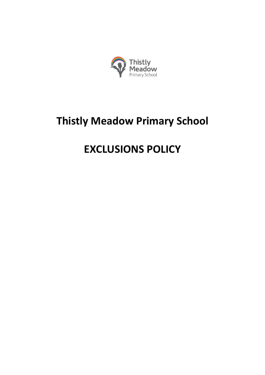

# **Thistly Meadow Primary School**

# **EXCLUSIONS POLICY**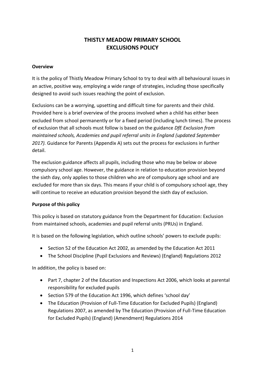# **THISTLY MEADOW PRIMARY SCHOOL EXCLUSIONS POLICY**

#### **Overview**

It is the policy of Thistly Meadow Primary School to try to deal with all behavioural issues in an active, positive way, employing a wide range of strategies, including those specifically designed to avoid such issues reaching the point of exclusion.

Exclusions can be a worrying, upsetting and difficult time for parents and their child. Provided here is a brief overview of the process involved when a child has either been excluded from school permanently or for a fixed period (including lunch times). The process of exclusion that all schools must follow is based on the guidance *DfE Exclusion from maintained schools, Academies and pupil referral units in England (updated September 2017).* Guidance for Parents (Appendix A) sets out the process for exclusions in further detail.

The exclusion guidance affects all pupils, including those who may be below or above compulsory school age. However, the guidance in relation to education provision beyond the sixth day, only applies to those children who are of compulsory age school and are excluded for more than six days. This means if your child is of compulsory school age, they will continue to receive an education provision beyond the sixth day of exclusion.

# **Purpose of this policy**

This policy is based on statutory guidance from the Department for Education: Exclusion from maintained schools, academies and pupil referral units (PRUs) in England.

It is based on the following legislation, which outline schools' powers to exclude pupils:

- Section 52 of the Education Act 2002, as amended by the Education Act 2011
- The School Discipline (Pupil Exclusions and Reviews) (England) Regulations 2012

In addition, the policy is based on:

- Part 7, chapter 2 of the Education and Inspections Act 2006, which looks at parental responsibility for excluded pupils
- Section 579 of the Education Act 1996, which defines 'school day'
- The Education (Provision of Full-Time Education for Excluded Pupils) (England) Regulations 2007, as amended by The Education (Provision of Full-Time Education for Excluded Pupils) (England) (Amendment) Regulations 2014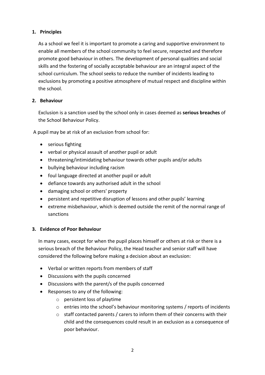# **1. Principles**

As a school we feel it is important to promote a caring and supportive environment to enable all members of the school community to feel secure, respected and therefore promote good behaviour in others. The development of personal qualities and social skills and the fostering of socially acceptable behaviour are an integral aspect of the school curriculum. The school seeks to reduce the number of incidents leading to exclusions by promoting a positive atmosphere of mutual respect and discipline within the school.

# **2. Behaviour**

Exclusion is a sanction used by the school only in cases deemed as **serious breaches** of the School Behaviour Policy.

A pupil may be at risk of an exclusion from school for:

- serious fighting
- verbal or physical assault of another pupil or adult
- threatening/intimidating behaviour towards other pupils and/or adults
- bullying behaviour including racism
- foul language directed at another pupil or adult
- defiance towards any authorised adult in the school
- damaging school or others' property
- persistent and repetitive disruption of lessons and other pupils' learning
- extreme misbehaviour, which is deemed outside the remit of the normal range of sanctions

# **3. Evidence of Poor Behaviour**

In many cases, except for when the pupil places himself or others at risk or there is a serious breach of the Behaviour Policy, the Head teacher and senior staff will have considered the following before making a decision about an exclusion:

- Verbal or written reports from members of staff
- Discussions with the pupils concerned
- Discussions with the parent/s of the pupils concerned
- Responses to any of the following:
	- o persistent loss of playtime
	- o entries into the school's behaviour monitoring systems / reports of incidents
	- o staff contacted parents / carers to inform them of their concerns with their child and the consequences could result in an exclusion as a consequence of poor behaviour.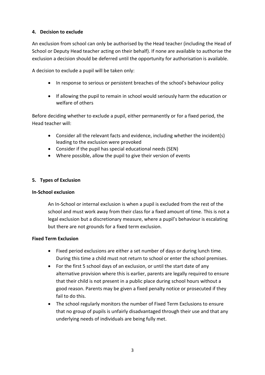# **4. Decision to exclude**

An exclusion from school can only be authorised by the Head teacher (including the Head of School or Deputy Head teacher acting on their behalf). If none are available to authorise the exclusion a decision should be deferred until the opportunity for authorisation is available.

A decision to exclude a pupil will be taken only:

- In response to serious or persistent breaches of the school's behaviour policy
- If allowing the pupil to remain in school would seriously harm the education or welfare of others

Before deciding whether to exclude a pupil, either permanently or for a fixed period, the Head teacher will:

- Consider all the relevant facts and evidence, including whether the incident(s) leading to the exclusion were provoked
- Consider if the pupil has special educational needs (SEN)
- Where possible, allow the pupil to give their version of events

# **5. Types of Exclusion**

# **In-School exclusion**

An In-School or internal exclusion is when a pupil is excluded from the rest of the school and must work away from their class for a fixed amount of time. This is not a legal exclusion but a discretionary measure, where a pupil's behaviour is escalating but there are not grounds for a fixed term exclusion.

# **Fixed Term Exclusion**

- Fixed period exclusions are either a set number of days or during lunch time. During this time a child must not return to school or enter the school premises.
- For the first 5 school days of an exclusion, or until the start date of any alternative provision where this is earlier, parents are legally required to ensure that their child is not present in a public place during school hours without a good reason. Parents may be given a fixed penalty notice or prosecuted if they fail to do this.
- The school regularly monitors the number of Fixed Term Exclusions to ensure that no group of pupils is unfairly disadvantaged through their use and that any underlying needs of individuals are being fully met.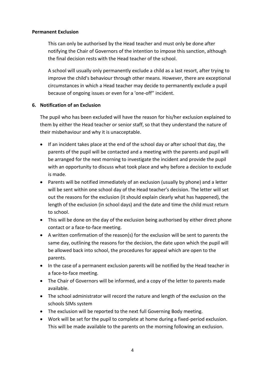#### **Permanent Exclusion**

This can only be authorised by the Head teacher and must only be done after notifying the Chair of Governors of the intention to impose this sanction, although the final decision rests with the Head teacher of the school.

A school will usually only permanently exclude a child as a last resort, after trying to improve the child's behaviour through other means. However, there are exceptional circumstances in which a Head teacher may decide to permanently exclude a pupil because of ongoing issues or even for a 'one-off'' incident.

#### **6. Notification of an Exclusion**

The pupil who has been excluded will have the reason for his/her exclusion explained to them by either the Head teacher or senior staff, so that they understand the nature of their misbehaviour and why it is unacceptable.

- If an incident takes place at the end of the school day or after school that day, the parents of the pupil will be contacted and a meeting with the parents and pupil will be arranged for the next morning to investigate the incident and provide the pupil with an opportunity to discuss what took place and why before a decision to exclude is made.
- Parents will be notified immediately of an exclusion (usually by phone) and a letter will be sent within one school day of the Head teacher's decision. The letter will set out the reasons for the exclusion (it should explain clearly what has happened), the length of the exclusion (in school days) and the date and time the child must return to school.
- This will be done on the day of the exclusion being authorised by either direct phone contact or a face-to-face meeting.
- A written confirmation of the reason(s) for the exclusion will be sent to parents the same day, outlining the reasons for the decision, the date upon which the pupil will be allowed back into school, the procedures for appeal which are open to the parents.
- In the case of a permanent exclusion parents will be notified by the Head teacher in a face-to-face meeting.
- The Chair of Governors will be informed, and a copy of the letter to parents made available.
- The school administrator will record the nature and length of the exclusion on the schools SIMs system
- The exclusion will be reported to the next full Governing Body meeting.
- Work will be set for the pupil to complete at home during a fixed-period exclusion. This will be made available to the parents on the morning following an exclusion.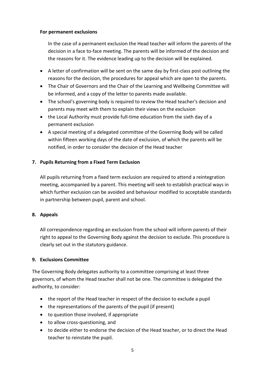#### **For permanent exclusions**

In the case of a permanent exclusion the Head teacher will inform the parents of the decision in a face to-face meeting. The parents will be informed of the decision and the reasons for it. The evidence leading up to the decision will be explained.

- A letter of confirmation will be sent on the same day by first-class post outlining the reasons for the decision, the procedures for appeal which are open to the parents.
- The Chair of Governors and the Chair of the Learning and Wellbeing Committee will be informed, and a copy of the letter to parents made available.
- The school's governing body is required to review the Head teacher's decision and parents may meet with them to explain their views on the exclusion
- the Local Authority must provide full-time education from the sixth day of a permanent exclusion
- A special meeting of a delegated committee of the Governing Body will be called within fifteen working days of the date of exclusion, of which the parents will be notified, in order to consider the decision of the Head teacher

# **7. Pupils Returning from a Fixed Term Exclusion**

All pupils returning from a fixed term exclusion are required to attend a reintegration meeting, accompanied by a parent. This meeting will seek to establish practical ways in which further exclusion can be avoided and behaviour modified to acceptable standards in partnership between pupil, parent and school.

# **8. Appeals**

All correspondence regarding an exclusion from the school will inform parents of their right to appeal to the Governing Body against the decision to exclude. This procedure is clearly set out in the statutory guidance.

#### **9. Exclusions Committee**

The Governing Body delegates authority to a committee comprising at least three governors, of whom the Head teacher shall not be one. The committee is delegated the authority, to consider:

- the report of the Head teacher in respect of the decision to exclude a pupil
- the representations of the parents of the pupil (if present)
- to question those involved, if appropriate
- to allow cross-questioning, and
- to decide either to endorse the decision of the Head teacher, or to direct the Head teacher to reinstate the pupil.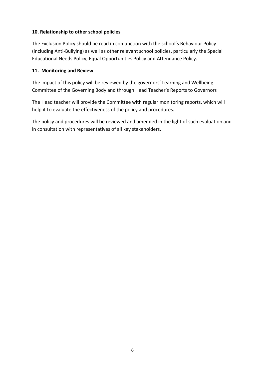# **10. Relationship to other school policies**

The Exclusion Policy should be read in conjunction with the school's Behaviour Policy (including Anti-Bullying) as well as other relevant school policies, particularly the Special Educational Needs Policy, Equal Opportunities Policy and Attendance Policy.

# **11. Monitoring and Review**

The impact of this policy will be reviewed by the governors' Learning and Wellbeing Committee of the Governing Body and through Head Teacher's Reports to Governors

The Head teacher will provide the Committee with regular monitoring reports, which will help it to evaluate the effectiveness of the policy and procedures.

The policy and procedures will be reviewed and amended in the light of such evaluation and in consultation with representatives of all key stakeholders.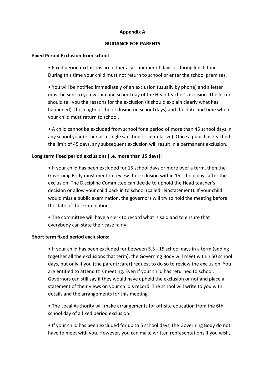#### **Appendix A**

#### **GUIDANCE FOR PARENTS**

#### **Fixed Period Exclusion from school**

• Fixed period exclusions are either a set number of days or during lunch time. During this time your child must not return to school or enter the school premises.

• You will be notified immediately of an exclusion (usually by phone) and a letter must be sent to you within one school day of the Head teacher's decision. The letter should tell you the reasons for the exclusion (it should explain clearly what has happened), the length of the exclusion (in school days) and the date and time when your child must return to school.

• A child cannot be excluded from school for a period of more than 45 school days in any school year (either as a single sanction or cumulative). Once a pupil has reached the limit of 45 days, any subsequent exclusion will result in a permanent exclusion.

# **Long term fixed period exclusions (i.e. more than 15 days):**

• If your child has been excluded for 15 school days or more over a term, then the Governing Body must meet to review the exclusion within 15 school days after the exclusion. The Discipline Committee can decide to uphold the Head teacher's decision or allow your child back in to school (called reinstatement). If your child would miss a public examination, the governors will try to hold the meeting before the date of the examination.

• The committee will have a clerk to record what is said and to ensure that everybody can state their case fairly.

# **Short term fixed period exclusions:**

• If your child has been excluded for between 5.5 - 15 school days in a term (adding together all the exclusions that term), the Governing Body will meet within 50 school days, but only if you (the parent/carer) request to do so to review the exclusion. You are entitled to attend this meeting. Even if your child has returned to school, Governors can still say if they would have upheld the exclusion or not and place a statement of their views on your child's record. The school will write to you with details and the arrangements for this meeting.

• The Local Authority will make arrangements for off-site education from the 6th school day of a fixed period exclusion.

• If your child has been excluded for up to 5 school days, the Governing Body do not have to meet with you. However, you can make written representations if you wish,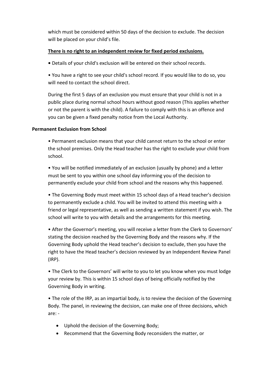which must be considered within 50 days of the decision to exclude. The decision will be placed on your child's file.

# **There is no right to an independent review for fixed period exclusions.**

**•** Details of your child's exclusion will be entered on their school records.

• You have a right to see your child's school record. If you would like to do so, you will need to contact the school direct.

During the first 5 days of an exclusion you must ensure that your child is not in a public place during normal school hours without good reason (This applies whether or not the parent is with the child). A failure to comply with this is an offence and you can be given a fixed penalty notice from the Local Authority.

# **Permanent Exclusion from School**

• Permanent exclusion means that your child cannot return to the school or enter the school premises. Only the Head teacher has the right to exclude your child from school.

• You will be notified immediately of an exclusion (usually by phone) and a letter must be sent to you within one school day informing you of the decision to permanently exclude your child from school and the reasons why this happened.

• The Governing Body must meet within 15 school days of a Head teacher's decision to permanently exclude a child. You will be invited to attend this meeting with a friend or legal representative, as well as sending a written statement if you wish. The school will write to you with details and the arrangements for this meeting.

• After the Governor's meeting, you will receive a letter from the Clerk to Governors' stating the decision reached by the Governing Body and the reasons why. If the Governing Body uphold the Head teacher's decision to exclude, then you have the right to have the Head teacher's decision reviewed by an Independent Review Panel (IRP).

• The Clerk to the Governors' will write to you to let you know when you must lodge your review by. This is within 15 school days of being officially notified by the Governing Body in writing.

• The role of the IRP, as an impartial body, is to review the decision of the Governing Body. The panel, in reviewing the decision, can make one of three decisions, which are: -

- Uphold the decision of the Governing Body;
- Recommend that the Governing Body reconsiders the matter, or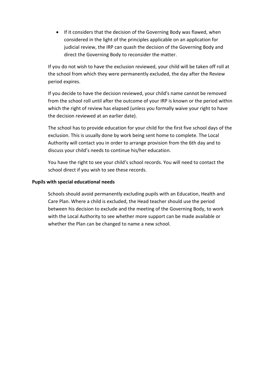• If it considers that the decision of the Governing Body was flawed, when considered in the light of the principles applicable on an application for judicial review, the IRP can quash the decision of the Governing Body and direct the Governing Body to reconsider the matter.

If you do not wish to have the exclusion reviewed, your child will be taken off roll at the school from which they were permanently excluded, the day after the Review period expires.

If you decide to have the decision reviewed, your child's name cannot be removed from the school roll until after the outcome of your IRP is known or the period within which the right of review has elapsed (unless you formally waive your right to have the decision reviewed at an earlier date).

The school has to provide education for your child for the first five school days of the exclusion. This is usually done by work being sent home to complete. The Local Authority will contact you in order to arrange provision from the 6th day and to discuss your child's needs to continue his/her education.

You have the right to see your child's school records. You will need to contact the school direct if you wish to see these records.

#### **Pupils with special educational needs**

Schools should avoid permanently excluding pupils with an Education, Health and Care Plan. Where a child is excluded, the Head teacher should use the period between his decision to exclude and the meeting of the Governing Body, to work with the Local Authority to see whether more support can be made available or whether the Plan can be changed to name a new school.